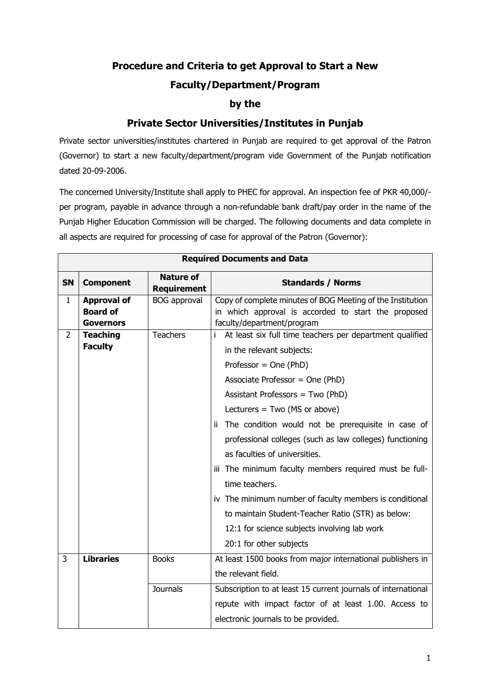## **Procedure and Criteria to get Approval to Start a New**

## **Faculty/Department/Program**

## **by the**

## **Private Sector Universities/Institutes in Punjab**

Private sector universities/institutes chartered in Punjab are required to get approval of the Patron (Governor) to start a new faculty/department/program vide Government of the Punjab notification dated 20-09-2006.

The concerned University/Institute shall apply to PHEC for approval. An inspection fee of PKR 40,000/ per program, payable in advance through a non-refundable bank draft/pay order in the name of the Punjab Higher Education Commission will be charged. The following documents and data complete in all aspects are required for processing of case for approval of the Patron (Governor):

| <b>Required Documents and Data</b> |                                                           |                                        |                                                                                                                                                                                                                                                                                                                                                                                                                                                                                                                                                                                                                                    |  |
|------------------------------------|-----------------------------------------------------------|----------------------------------------|------------------------------------------------------------------------------------------------------------------------------------------------------------------------------------------------------------------------------------------------------------------------------------------------------------------------------------------------------------------------------------------------------------------------------------------------------------------------------------------------------------------------------------------------------------------------------------------------------------------------------------|--|
| <b>SN</b>                          | <b>Component</b>                                          | <b>Nature of</b><br><b>Requirement</b> | <b>Standards / Norms</b>                                                                                                                                                                                                                                                                                                                                                                                                                                                                                                                                                                                                           |  |
| $\mathbf{1}$                       | <b>Approval of</b><br><b>Board of</b><br><b>Governors</b> | <b>BOG</b> approval                    | Copy of complete minutes of BOG Meeting of the Institution<br>in which approval is accorded to start the proposed<br>faculty/department/program                                                                                                                                                                                                                                                                                                                                                                                                                                                                                    |  |
| 2                                  | <b>Teaching</b><br><b>Faculty</b>                         | <b>Teachers</b>                        | At least six full time teachers per department qualified<br>i.<br>in the relevant subjects:<br>Professor = $One (PhD)$<br>Associate Professor = One (PhD)<br>Assistant Professors = Two (PhD)<br>Lecturers = $Two (MS or above)$<br>ii The condition would not be prerequisite in case of<br>professional colleges (such as law colleges) functioning<br>as faculties of universities.<br>iii The minimum faculty members required must be full-<br>time teachers.<br>iv The minimum number of faculty members is conditional<br>to maintain Student-Teacher Ratio (STR) as below:<br>12:1 for science subjects involving lab work |  |
|                                    |                                                           |                                        | 20:1 for other subjects                                                                                                                                                                                                                                                                                                                                                                                                                                                                                                                                                                                                            |  |
| 3                                  | <b>Libraries</b>                                          | <b>Books</b>                           | At least 1500 books from major international publishers in<br>the relevant field.                                                                                                                                                                                                                                                                                                                                                                                                                                                                                                                                                  |  |
|                                    |                                                           | <b>Journals</b>                        | Subscription to at least 15 current journals of international<br>repute with impact factor of at least 1.00. Access to<br>electronic journals to be provided.                                                                                                                                                                                                                                                                                                                                                                                                                                                                      |  |